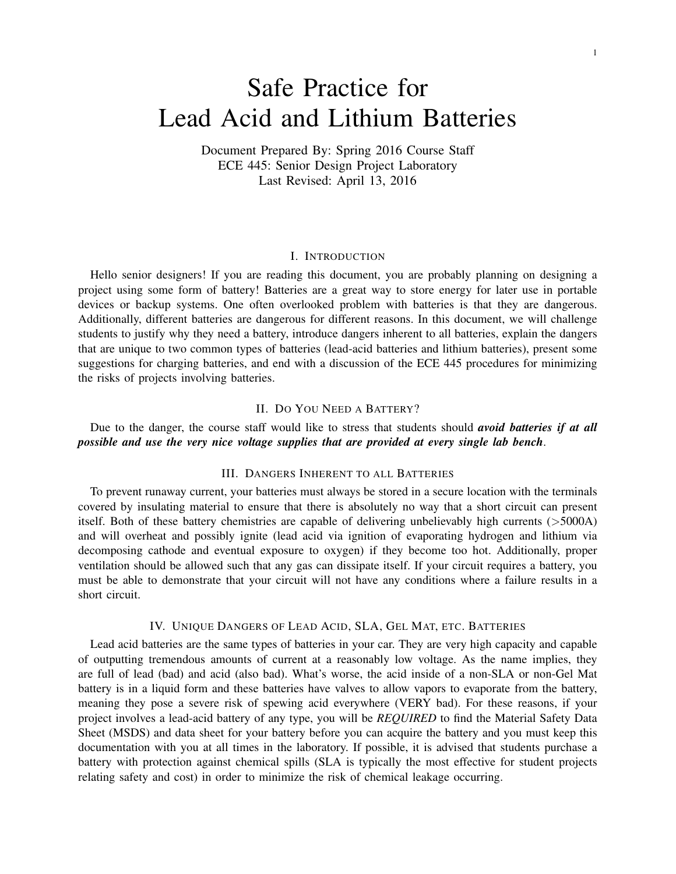# Safe Practice for Lead Acid and Lithium Batteries

Document Prepared By: Spring 2016 Course Staff ECE 445: Senior Design Project Laboratory Last Revised: April 13, 2016

## I. INTRODUCTION

Hello senior designers! If you are reading this document, you are probably planning on designing a project using some form of battery! Batteries are a great way to store energy for later use in portable devices or backup systems. One often overlooked problem with batteries is that they are dangerous. Additionally, different batteries are dangerous for different reasons. In this document, we will challenge students to justify why they need a battery, introduce dangers inherent to all batteries, explain the dangers that are unique to two common types of batteries (lead-acid batteries and lithium batteries), present some suggestions for charging batteries, and end with a discussion of the ECE 445 procedures for minimizing the risks of projects involving batteries.

## II. DO YOU NEED A BATTERY?

Due to the danger, the course staff would like to stress that students should *avoid batteries if at all possible and use the very nice voltage supplies that are provided at every single lab bench*.

#### III. DANGERS INHERENT TO ALL BATTERIES

To prevent runaway current, your batteries must always be stored in a secure location with the terminals covered by insulating material to ensure that there is absolutely no way that a short circuit can present itself. Both of these battery chemistries are capable of delivering unbelievably high currents (>5000A) and will overheat and possibly ignite (lead acid via ignition of evaporating hydrogen and lithium via decomposing cathode and eventual exposure to oxygen) if they become too hot. Additionally, proper ventilation should be allowed such that any gas can dissipate itself. If your circuit requires a battery, you must be able to demonstrate that your circuit will not have any conditions where a failure results in a short circuit.

#### IV. UNIQUE DANGERS OF LEAD ACID, SLA, GEL MAT, ETC. BATTERIES

Lead acid batteries are the same types of batteries in your car. They are very high capacity and capable of outputting tremendous amounts of current at a reasonably low voltage. As the name implies, they are full of lead (bad) and acid (also bad). What's worse, the acid inside of a non-SLA or non-Gel Mat battery is in a liquid form and these batteries have valves to allow vapors to evaporate from the battery, meaning they pose a severe risk of spewing acid everywhere (VERY bad). For these reasons, if your project involves a lead-acid battery of any type, you will be *REQUIRED* to find the Material Safety Data Sheet (MSDS) and data sheet for your battery before you can acquire the battery and you must keep this documentation with you at all times in the laboratory. If possible, it is advised that students purchase a battery with protection against chemical spills (SLA is typically the most effective for student projects relating safety and cost) in order to minimize the risk of chemical leakage occurring.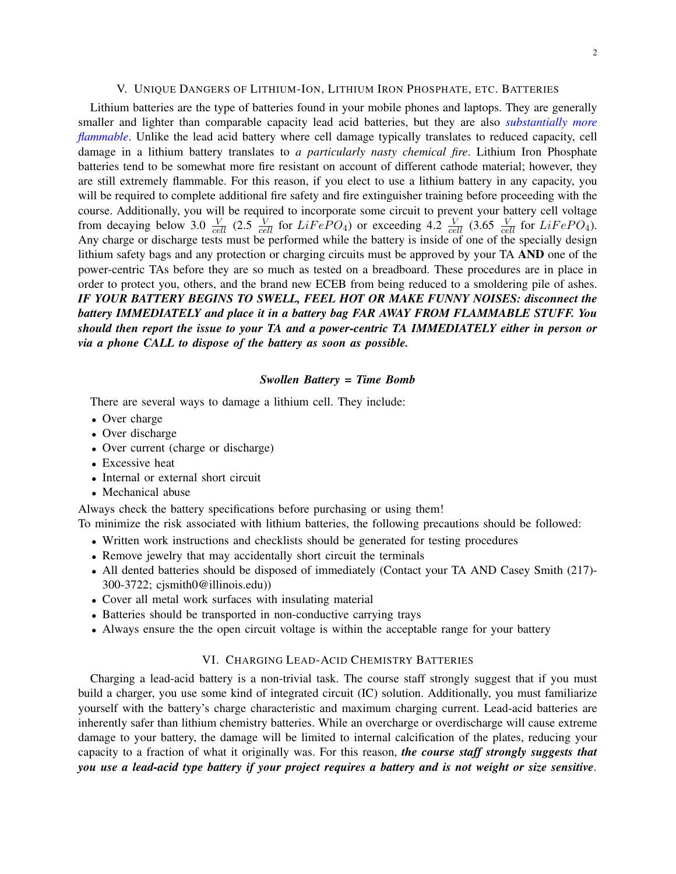#### V. UNIQUE DANGERS OF LITHIUM-ION, LITHIUM IRON PHOSPHATE, ETC. BATTERIES

Lithium batteries are the type of batteries found in your mobile phones and laptops. They are generally smaller and lighter than comparable capacity lead acid batteries, but they are also *[substantially more](https://www.youtube.com/watch?v=HCGtRgBUHX8) [flammable](https://www.youtube.com/watch?v=HCGtRgBUHX8)*. Unlike the lead acid battery where cell damage typically translates to reduced capacity, cell damage in a lithium battery translates to *a particularly nasty chemical fire*. Lithium Iron Phosphate batteries tend to be somewhat more fire resistant on account of different cathode material; however, they are still extremely flammable. For this reason, if you elect to use a lithium battery in any capacity, you will be required to complete additional fire safety and fire extinguisher training before proceeding with the course. Additionally, you will be required to incorporate some circuit to prevent your battery cell voltage from decaying below 3.0  $\frac{V}{cell}$  (2.5  $\frac{V}{cell}$  for  $LiFePO_4$ ) or exceeding 4.2  $\frac{V}{cell}$  (3.65  $\frac{V}{cell}$  for  $LiFePO_4$ ). Any charge or discharge tests must be performed while the battery is inside of one of the specially design lithium safety bags and any protection or charging circuits must be approved by your TA AND one of the power-centric TAs before they are so much as tested on a breadboard. These procedures are in place in order to protect you, others, and the brand new ECEB from being reduced to a smoldering pile of ashes. *IF YOUR BATTERY BEGINS TO SWELL, FEEL HOT OR MAKE FUNNY NOISES: disconnect the battery IMMEDIATELY and place it in a battery bag FAR AWAY FROM FLAMMABLE STUFF. You should then report the issue to your TA and a power-centric TA IMMEDIATELY either in person or via a phone CALL to dispose of the battery as soon as possible.*

#### *Swollen Battery = Time Bomb*

There are several ways to damage a lithium cell. They include:

- Over charge
- Over discharge
- Over current (charge or discharge)
- Excessive heat
- Internal or external short circuit
- Mechanical abuse

Always check the battery specifications before purchasing or using them!

- To minimize the risk associated with lithium batteries, the following precautions should be followed:
	- Written work instructions and checklists should be generated for testing procedures
	- Remove jewelry that may accidentally short circuit the terminals
	- All dented batteries should be disposed of immediately (Contact your TA AND Casey Smith (217)- 300-3722; cjsmith0@illinois.edu))
	- Cover all metal work surfaces with insulating material
	- Batteries should be transported in non-conductive carrying trays
	- Always ensure the the open circuit voltage is within the acceptable range for your battery

#### VI. CHARGING LEAD-ACID CHEMISTRY BATTERIES

Charging a lead-acid battery is a non-trivial task. The course staff strongly suggest that if you must build a charger, you use some kind of integrated circuit (IC) solution. Additionally, you must familiarize yourself with the battery's charge characteristic and maximum charging current. Lead-acid batteries are inherently safer than lithium chemistry batteries. While an overcharge or overdischarge will cause extreme damage to your battery, the damage will be limited to internal calcification of the plates, reducing your capacity to a fraction of what it originally was. For this reason, *the course staff strongly suggests that you use a lead-acid type battery if your project requires a battery and is not weight or size sensitive*.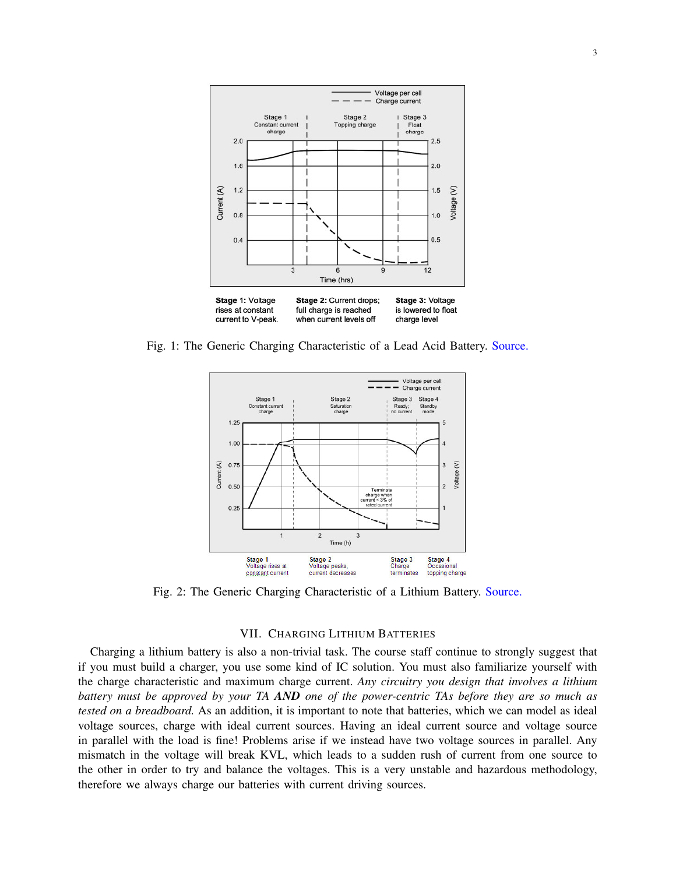

Fig. 1: The Generic Charging Characteristic of a Lead Acid Battery. [Source.](http://batteryuniversity.com/learn/article/charging_the_lead_acid_battery)



Fig. 2: The Generic Charging Characteristic of a Lithium Battery. [Source.](http://batteryuniversity.com/learn/article/charging_lithium_ion_batteries)

# VII. CHARGING LITHIUM BATTERIES

Charging a lithium battery is also a non-trivial task. The course staff continue to strongly suggest that if you must build a charger, you use some kind of IC solution. You must also familiarize yourself with the charge characteristic and maximum charge current. *Any circuitry you design that involves a lithium battery must be approved by your TA AND one of the power-centric TAs before they are so much as tested on a breadboard.* As an addition, it is important to note that batteries, which we can model as ideal voltage sources, charge with ideal current sources. Having an ideal current source and voltage source in parallel with the load is fine! Problems arise if we instead have two voltage sources in parallel. Any mismatch in the voltage will break KVL, which leads to a sudden rush of current from one source to the other in order to try and balance the voltages. This is a very unstable and hazardous methodology, therefore we always charge our batteries with current driving sources.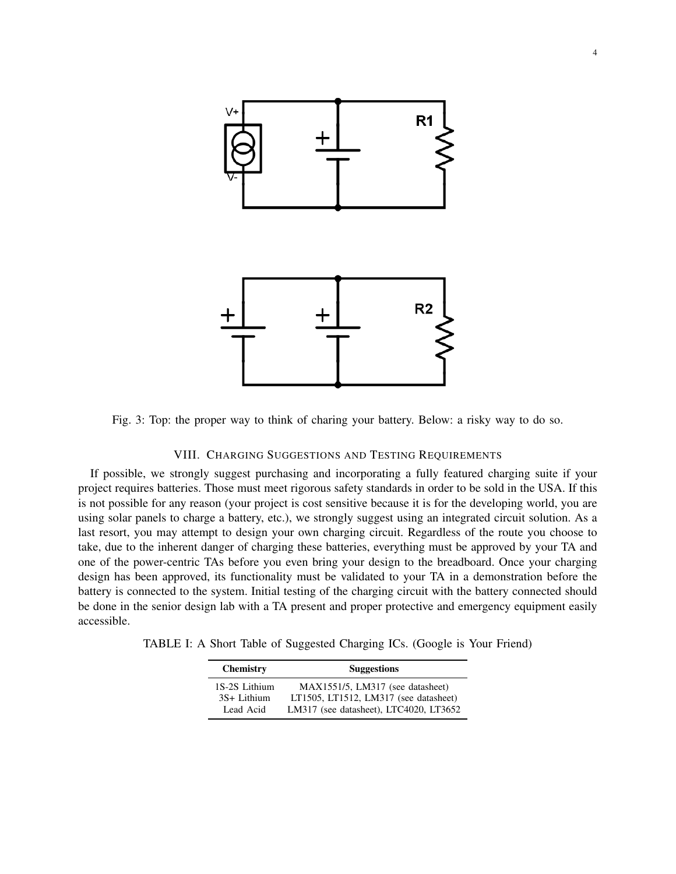

Fig. 3: Top: the proper way to think of charing your battery. Below: a risky way to do so.

## VIII. CHARGING SUGGESTIONS AND TESTING REQUIREMENTS

If possible, we strongly suggest purchasing and incorporating a fully featured charging suite if your project requires batteries. Those must meet rigorous safety standards in order to be sold in the USA. If this is not possible for any reason (your project is cost sensitive because it is for the developing world, you are using solar panels to charge a battery, etc.), we strongly suggest using an integrated circuit solution. As a last resort, you may attempt to design your own charging circuit. Regardless of the route you choose to take, due to the inherent danger of charging these batteries, everything must be approved by your TA and one of the power-centric TAs before you even bring your design to the breadboard. Once your charging design has been approved, its functionality must be validated to your TA in a demonstration before the battery is connected to the system. Initial testing of the charging circuit with the battery connected should be done in the senior design lab with a TA present and proper protective and emergency equipment easily accessible.

TABLE I: A Short Table of Suggested Charging ICs. (Google is Your Friend)

| <b>Chemistry</b> | <b>Suggestions</b>                     |  |  |
|------------------|----------------------------------------|--|--|
| 1S-2S Lithium    | MAX1551/5, LM317 (see datasheet)       |  |  |
| 3S+ Lithium      | LT1505, LT1512, LM317 (see datasheet)  |  |  |
| Lead Acid        | LM317 (see datasheet), LTC4020, LT3652 |  |  |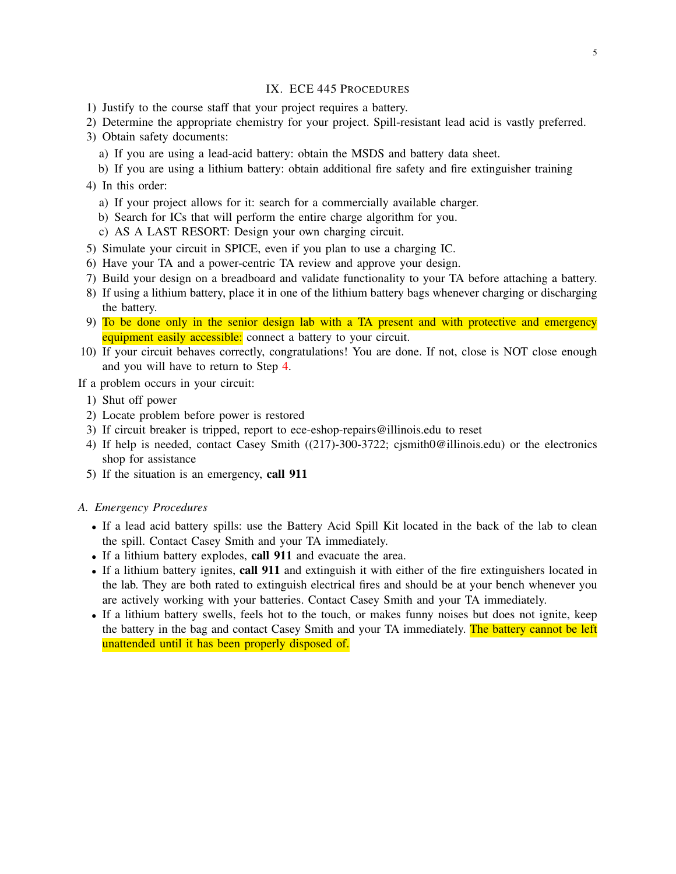# IX. ECE 445 PROCEDURES

- 1) Justify to the course staff that your project requires a battery.
- 2) Determine the appropriate chemistry for your project. Spill-resistant lead acid is vastly preferred.
- 3) Obtain safety documents:
	- a) If you are using a lead-acid battery: obtain the MSDS and battery data sheet.
	- b) If you are using a lithium battery: obtain additional fire safety and fire extinguisher training
- <span id="page-4-0"></span>4) In this order:
	- a) If your project allows for it: search for a commercially available charger.
	- b) Search for ICs that will perform the entire charge algorithm for you.
	- c) AS A LAST RESORT: Design your own charging circuit.
- 5) Simulate your circuit in SPICE, even if you plan to use a charging IC.
- 6) Have your TA and a power-centric TA review and approve your design.
- 7) Build your design on a breadboard and validate functionality to your TA before attaching a battery.
- 8) If using a lithium battery, place it in one of the lithium battery bags whenever charging or discharging the battery.
- 9) To be done only in the senior design lab with a TA present and with protective and emergency equipment easily accessible: connect a battery to your circuit.
- 10) If your circuit behaves correctly, congratulations! You are done. If not, close is NOT close enough and you will have to return to Step [4.](#page-4-0)

If a problem occurs in your circuit:

- 1) Shut off power
- 2) Locate problem before power is restored
- 3) If circuit breaker is tripped, report to ece-eshop-repairs@illinois.edu to reset
- 4) If help is needed, contact Casey Smith ((217)-300-3722; cjsmith0@illinois.edu) or the electronics shop for assistance
- 5) If the situation is an emergency, call 911

## *A. Emergency Procedures*

- If a lead acid battery spills: use the Battery Acid Spill Kit located in the back of the lab to clean the spill. Contact Casey Smith and your TA immediately.
- If a lithium battery explodes, call 911 and evacuate the area.
- If a lithium battery ignites, call 911 and extinguish it with either of the fire extinguishers located in the lab. They are both rated to extinguish electrical fires and should be at your bench whenever you are actively working with your batteries. Contact Casey Smith and your TA immediately.
- If a lithium battery swells, feels hot to the touch, or makes funny noises but does not ignite, keep the battery in the bag and contact Casey Smith and your TA immediately. The battery cannot be left unattended until it has been properly disposed of.